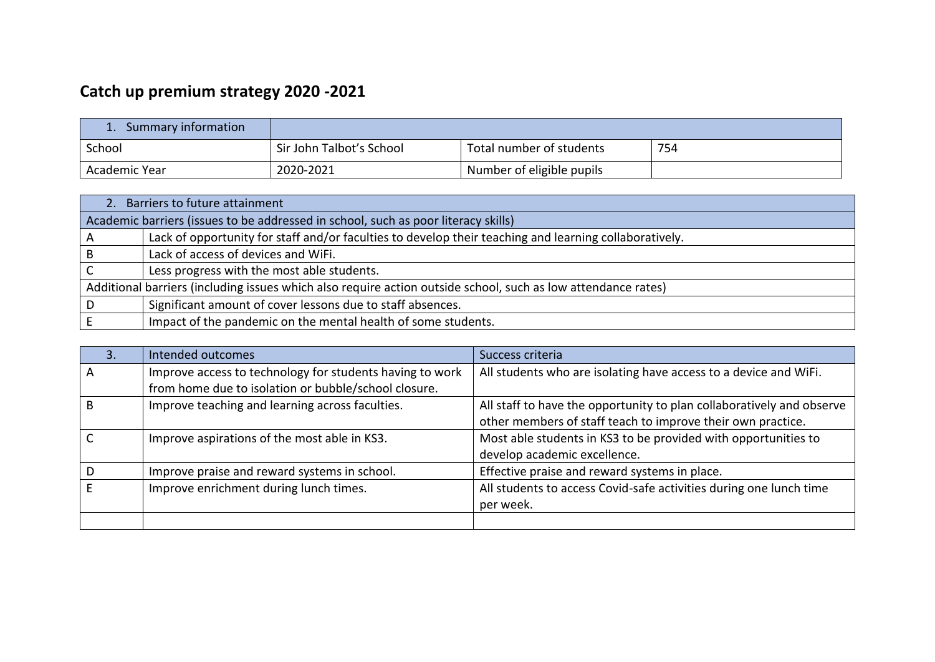## **Catch up premium strategy 2020 -2021**

| Summary information |                          |                           |     |
|---------------------|--------------------------|---------------------------|-----|
| School              | Sir John Talbot's School | Total number of students  | 754 |
| Academic Year       | 2020-2021                | Number of eligible pupils |     |

|   | 2. Barriers to future attainment                                                                              |  |  |  |  |
|---|---------------------------------------------------------------------------------------------------------------|--|--|--|--|
|   | Academic barriers (issues to be addressed in school, such as poor literacy skills)                            |  |  |  |  |
| A | Lack of opportunity for staff and/or faculties to develop their teaching and learning collaboratively.        |  |  |  |  |
| B | Lack of access of devices and WiFi.                                                                           |  |  |  |  |
|   | Less progress with the most able students.                                                                    |  |  |  |  |
|   | Additional barriers (including issues which also require action outside school, such as low attendance rates) |  |  |  |  |
| D | Significant amount of cover lessons due to staff absences.                                                    |  |  |  |  |
|   | Impact of the pandemic on the mental health of some students.                                                 |  |  |  |  |

| 3. | Intended outcomes                                        | Success criteria                                                      |
|----|----------------------------------------------------------|-----------------------------------------------------------------------|
| A  | Improve access to technology for students having to work | All students who are isolating have access to a device and WiFi.      |
|    | from home due to isolation or bubble/school closure.     |                                                                       |
|    | Improve teaching and learning across faculties.          | All staff to have the opportunity to plan collaboratively and observe |
|    |                                                          | other members of staff teach to improve their own practice.           |
|    | Improve aspirations of the most able in KS3.             | Most able students in KS3 to be provided with opportunities to        |
|    |                                                          | develop academic excellence.                                          |
|    | Improve praise and reward systems in school.             | Effective praise and reward systems in place.                         |
|    | Improve enrichment during lunch times.                   | All students to access Covid-safe activities during one lunch time    |
|    |                                                          | per week.                                                             |
|    |                                                          |                                                                       |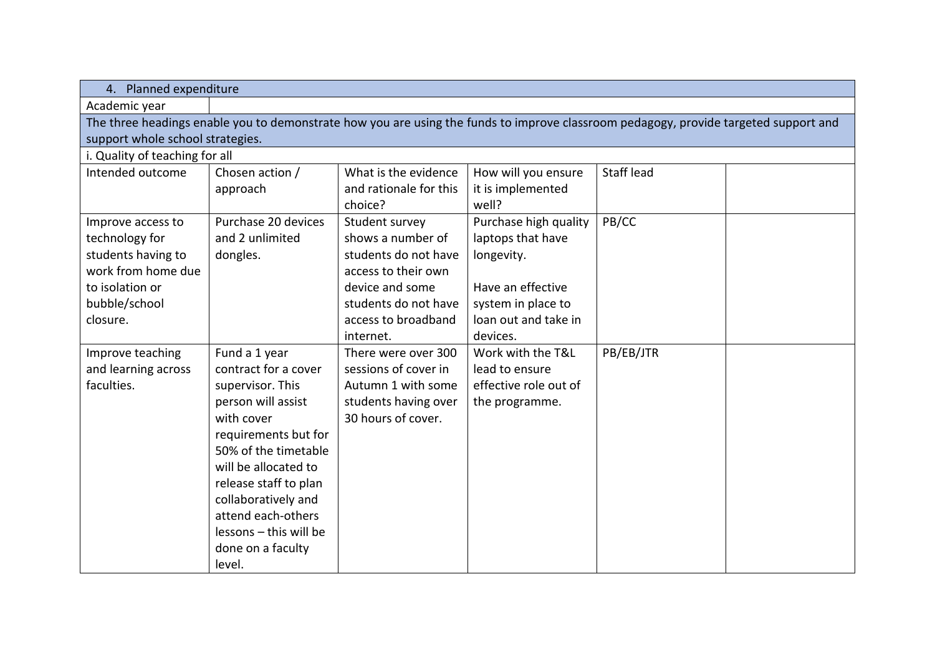| 4. Planned expenditure                                                                                                               |                        |                        |                       |            |  |  |
|--------------------------------------------------------------------------------------------------------------------------------------|------------------------|------------------------|-----------------------|------------|--|--|
| Academic year                                                                                                                        |                        |                        |                       |            |  |  |
| The three headings enable you to demonstrate how you are using the funds to improve classroom pedagogy, provide targeted support and |                        |                        |                       |            |  |  |
| support whole school strategies.                                                                                                     |                        |                        |                       |            |  |  |
| i. Quality of teaching for all                                                                                                       |                        |                        |                       |            |  |  |
| Intended outcome                                                                                                                     | Chosen action /        | What is the evidence   | How will you ensure   | Staff lead |  |  |
|                                                                                                                                      | approach               | and rationale for this | it is implemented     |            |  |  |
|                                                                                                                                      |                        | choice?                | well?                 |            |  |  |
| Improve access to                                                                                                                    | Purchase 20 devices    | Student survey         | Purchase high quality | PB/CC      |  |  |
| technology for                                                                                                                       | and 2 unlimited        | shows a number of      | laptops that have     |            |  |  |
| students having to                                                                                                                   | dongles.               | students do not have   | longevity.            |            |  |  |
| work from home due                                                                                                                   |                        | access to their own    |                       |            |  |  |
| to isolation or                                                                                                                      |                        | device and some        | Have an effective     |            |  |  |
| bubble/school                                                                                                                        |                        | students do not have   | system in place to    |            |  |  |
| closure.                                                                                                                             |                        | access to broadband    | loan out and take in  |            |  |  |
|                                                                                                                                      |                        | internet.              | devices.              |            |  |  |
| Improve teaching                                                                                                                     | Fund a 1 year          | There were over 300    | Work with the T&L     | PB/EB/JTR  |  |  |
| and learning across                                                                                                                  | contract for a cover   | sessions of cover in   | lead to ensure        |            |  |  |
| faculties.                                                                                                                           | supervisor. This       | Autumn 1 with some     | effective role out of |            |  |  |
|                                                                                                                                      | person will assist     | students having over   | the programme.        |            |  |  |
|                                                                                                                                      | with cover             | 30 hours of cover.     |                       |            |  |  |
|                                                                                                                                      | requirements but for   |                        |                       |            |  |  |
|                                                                                                                                      | 50% of the timetable   |                        |                       |            |  |  |
|                                                                                                                                      | will be allocated to   |                        |                       |            |  |  |
|                                                                                                                                      | release staff to plan  |                        |                       |            |  |  |
|                                                                                                                                      | collaboratively and    |                        |                       |            |  |  |
|                                                                                                                                      | attend each-others     |                        |                       |            |  |  |
|                                                                                                                                      | lessons - this will be |                        |                       |            |  |  |
|                                                                                                                                      | done on a faculty      |                        |                       |            |  |  |
|                                                                                                                                      | level.                 |                        |                       |            |  |  |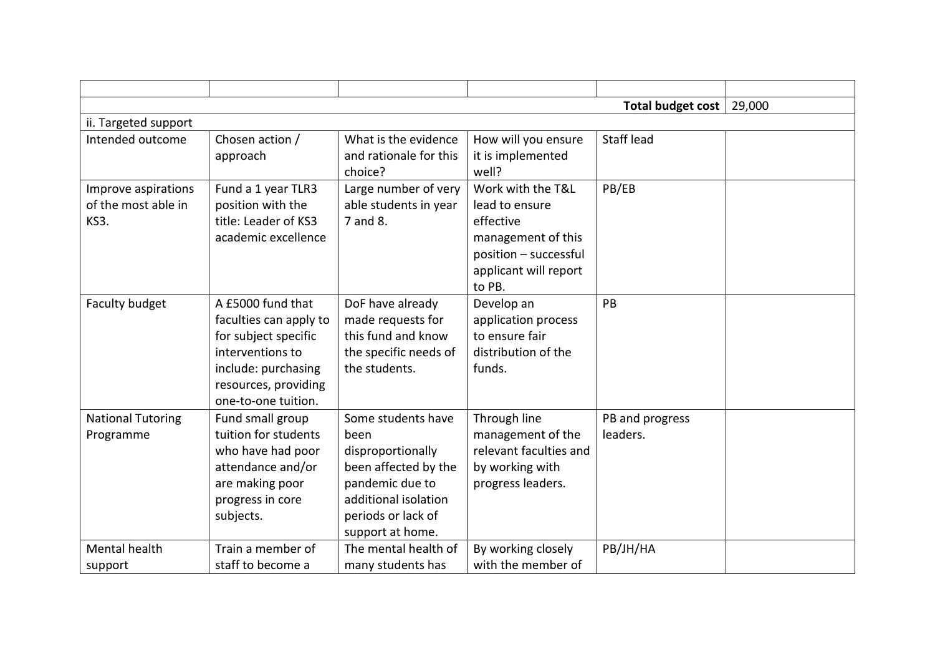|                                                    |                                                                                                                                                               |                                                                                                                                                              |                                                                                                                                    | Total budget cost           | 29,000 |
|----------------------------------------------------|---------------------------------------------------------------------------------------------------------------------------------------------------------------|--------------------------------------------------------------------------------------------------------------------------------------------------------------|------------------------------------------------------------------------------------------------------------------------------------|-----------------------------|--------|
| ii. Targeted support                               |                                                                                                                                                               |                                                                                                                                                              |                                                                                                                                    |                             |        |
| Intended outcome                                   | Chosen action /<br>approach                                                                                                                                   | What is the evidence<br>and rationale for this<br>choice?                                                                                                    | How will you ensure<br>it is implemented<br>well?                                                                                  | <b>Staff lead</b>           |        |
| Improve aspirations<br>of the most able in<br>KS3. | Fund a 1 year TLR3<br>position with the<br>title: Leader of KS3<br>academic excellence                                                                        | Large number of very<br>able students in year<br>7 and 8.                                                                                                    | Work with the T&L<br>lead to ensure<br>effective<br>management of this<br>position - successful<br>applicant will report<br>to PB. | PB/EB                       |        |
| <b>Faculty budget</b>                              | A £5000 fund that<br>faculties can apply to<br>for subject specific<br>interventions to<br>include: purchasing<br>resources, providing<br>one-to-one tuition. | DoF have already<br>made requests for<br>this fund and know<br>the specific needs of<br>the students.                                                        | Develop an<br>application process<br>to ensure fair<br>distribution of the<br>funds.                                               | PB                          |        |
| <b>National Tutoring</b><br>Programme              | Fund small group<br>tuition for students<br>who have had poor<br>attendance and/or<br>are making poor<br>progress in core<br>subjects.                        | Some students have<br>been<br>disproportionally<br>been affected by the<br>pandemic due to<br>additional isolation<br>periods or lack of<br>support at home. | Through line<br>management of the<br>relevant faculties and<br>by working with<br>progress leaders.                                | PB and progress<br>leaders. |        |
| Mental health<br>support                           | Train a member of<br>staff to become a                                                                                                                        | The mental health of<br>many students has                                                                                                                    | By working closely<br>with the member of                                                                                           | PB/JH/HA                    |        |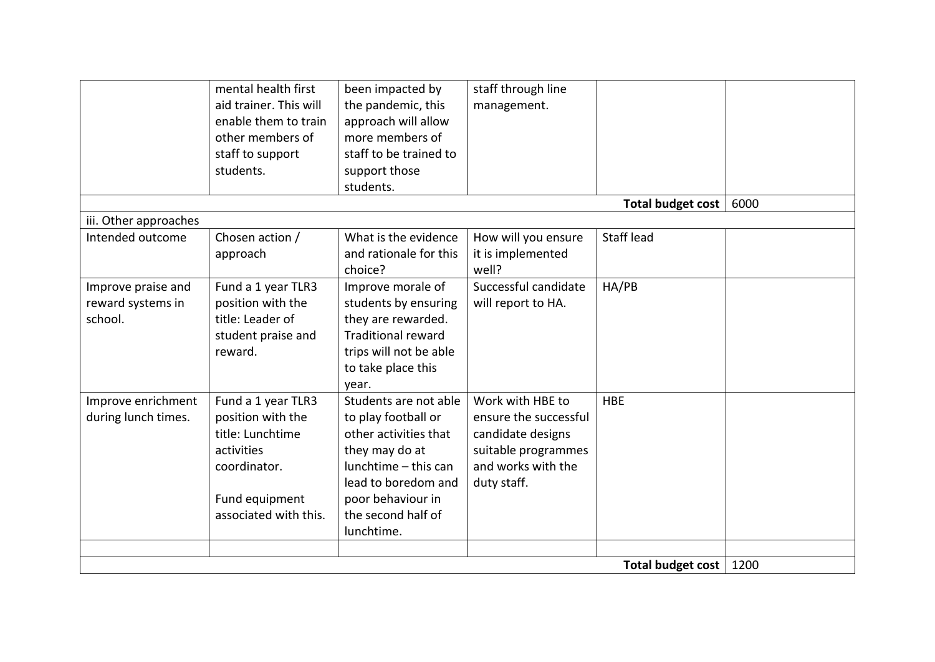|                                                    | mental health first<br>aid trainer. This will<br>enable them to train<br>other members of<br>staff to support<br>students.           | been impacted by<br>the pandemic, this<br>approach will allow<br>more members of<br>staff to be trained to<br>support those<br>students.                                                        | staff through line<br>management.                                                                                          |                   |      |
|----------------------------------------------------|--------------------------------------------------------------------------------------------------------------------------------------|-------------------------------------------------------------------------------------------------------------------------------------------------------------------------------------------------|----------------------------------------------------------------------------------------------------------------------------|-------------------|------|
|                                                    |                                                                                                                                      |                                                                                                                                                                                                 |                                                                                                                            | Total budget cost | 6000 |
| iii. Other approaches                              |                                                                                                                                      |                                                                                                                                                                                                 |                                                                                                                            |                   |      |
| Intended outcome                                   | Chosen action /<br>approach                                                                                                          | What is the evidence<br>and rationale for this<br>choice?                                                                                                                                       | How will you ensure<br>it is implemented<br>well?                                                                          | <b>Staff lead</b> |      |
| Improve praise and<br>reward systems in<br>school. | Fund a 1 year TLR3<br>position with the<br>title: Leader of<br>student praise and<br>reward.                                         | Improve morale of<br>students by ensuring<br>they are rewarded.<br><b>Traditional reward</b><br>trips will not be able<br>to take place this<br>year.                                           | Successful candidate<br>will report to HA.                                                                                 | HA/PB             |      |
| Improve enrichment<br>during lunch times.          | Fund a 1 year TLR3<br>position with the<br>title: Lunchtime<br>activities<br>coordinator.<br>Fund equipment<br>associated with this. | Students are not able<br>to play football or<br>other activities that<br>they may do at<br>lunchtime - this can<br>lead to boredom and<br>poor behaviour in<br>the second half of<br>lunchtime. | Work with HBE to<br>ensure the successful<br>candidate designs<br>suitable programmes<br>and works with the<br>duty staff. | <b>HBE</b>        |      |
|                                                    |                                                                                                                                      |                                                                                                                                                                                                 |                                                                                                                            |                   |      |
| Total budget cost                                  |                                                                                                                                      |                                                                                                                                                                                                 |                                                                                                                            |                   | 1200 |